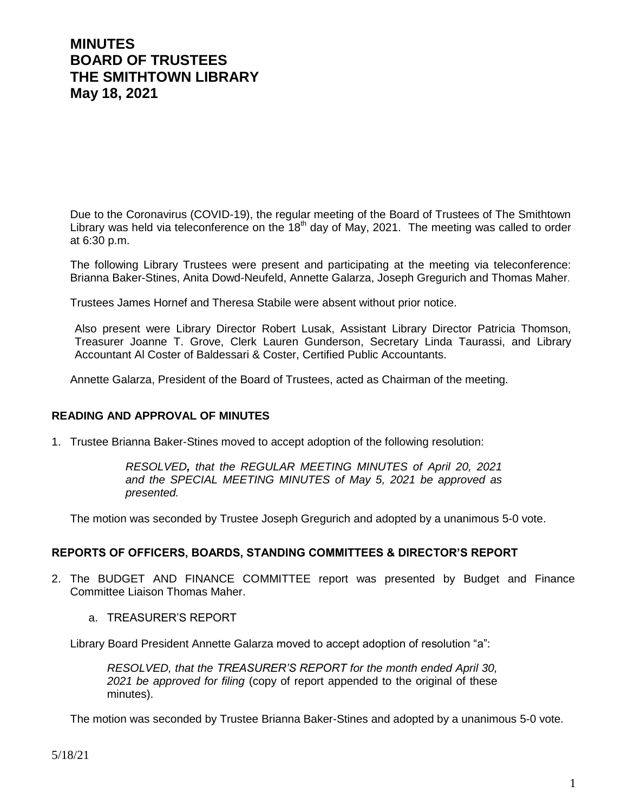# **MINUTES BOARD OF TRUSTEES THE SMITHTOWN LIBRARY May 18, 2021**

Due to the Coronavirus (COVID-19), the regular meeting of the Board of Trustees of The Smithtown Library was held via teleconference on the  $18<sup>th</sup>$  day of May, 2021. The meeting was called to order at 6:30 p.m.

The following Library Trustees were present and participating at the meeting via teleconference: Brianna Baker-Stines, Anita Dowd-Neufeld, Annette Galarza, Joseph Gregurich and Thomas Maher.

Trustees James Hornef and Theresa Stabile were absent without prior notice.

Also present were Library Director Robert Lusak, Assistant Library Director Patricia Thomson, Treasurer Joanne T. Grove, Clerk Lauren Gunderson, Secretary Linda Taurassi, and Library Accountant Al Coster of Baldessari & Coster, Certified Public Accountants.

Annette Galarza, President of the Board of Trustees, acted as Chairman of the meeting.

#### **READING AND APPROVAL OF MINUTES**

1. Trustee Brianna Baker-Stines moved to accept adoption of the following resolution:

*RESOLVED, that the REGULAR MEETING MINUTES of April 20, 2021 and the SPECIAL MEETING MINUTES of May 5, 2021 be approved as presented.*

The motion was seconded by Trustee Joseph Gregurich and adopted by a unanimous 5-0 vote.

#### **REPORTS OF OFFICERS, BOARDS, STANDING COMMITTEES & DIRECTOR'S REPORT**

- 2. The BUDGET AND FINANCE COMMITTEE report was presented by Budget and Finance Committee Liaison Thomas Maher.
	- a. TREASURER'S REPORT

Library Board President Annette Galarza moved to accept adoption of resolution "a":

*RESOLVED, that the TREASURER'S REPORT for the month ended April 30, 2021 be approved for filing* (copy of report appended to the original of these minutes).

The motion was seconded by Trustee Brianna Baker-Stines and adopted by a unanimous 5-0 vote.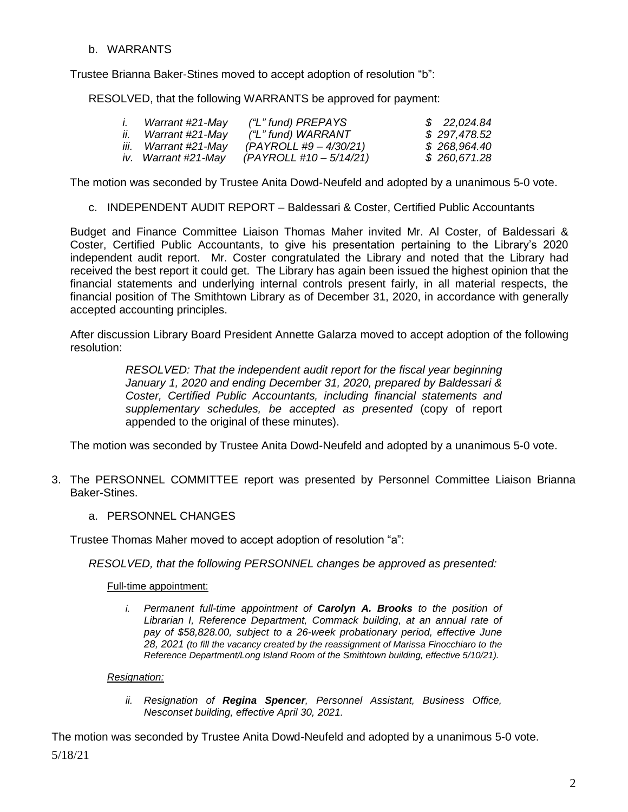### b. WARRANTS

Trustee Brianna Baker-Stines moved to accept adoption of resolution "b":

RESOLVED, that the following WARRANTS be approved for payment:

| Warrant #21-May      | ("L" fund) PREPAYS       | \$22,024.84  |
|----------------------|--------------------------|--------------|
| ii. Warrant #21-May  | ("L" fund) WARRANT       | \$297,478.52 |
| iii. Warrant #21-May | $(PAYROLL #9 - 4/30/21)$ | \$268,964.40 |
| iv. Warrant #21-May  | $(PAYROLL #10-5/14/21)$  | \$260,671.28 |

The motion was seconded by Trustee Anita Dowd-Neufeld and adopted by a unanimous 5-0 vote.

c. INDEPENDENT AUDIT REPORT – Baldessari & Coster, Certified Public Accountants

Budget and Finance Committee Liaison Thomas Maher invited Mr. Al Coster, of Baldessari & Coster, Certified Public Accountants, to give his presentation pertaining to the Library's 2020 independent audit report. Mr. Coster congratulated the Library and noted that the Library had received the best report it could get. The Library has again been issued the highest opinion that the financial statements and underlying internal controls present fairly, in all material respects, the financial position of The Smithtown Library as of December 31, 2020, in accordance with generally accepted accounting principles.

After discussion Library Board President Annette Galarza moved to accept adoption of the following resolution:

> *RESOLVED: That the independent audit report for the fiscal year beginning January 1, 2020 and ending December 31, 2020, prepared by Baldessari & Coster, Certified Public Accountants, including financial statements and supplementary schedules, be accepted as presented* (copy of report appended to the original of these minutes).

The motion was seconded by Trustee Anita Dowd-Neufeld and adopted by a unanimous 5-0 vote.

- 3. The PERSONNEL COMMITTEE report was presented by Personnel Committee Liaison Brianna Baker-Stines.
	- a. PERSONNEL CHANGES

Trustee Thomas Maher moved to accept adoption of resolution "a":

*RESOLVED, that the following PERSONNEL changes be approved as presented:*

Full-time appointment:

*i. Permanent full-time appointment of Carolyn A. Brooks to the position of Librarian I, Reference Department, Commack building, at an annual rate of pay of \$58,828.00, subject to a 26-week probationary period, effective June 28, 2021 (to fill the vacancy created by the reassignment of Marissa Finocchiaro to the Reference Department/Long Island Room of the Smithtown building, effective 5/10/21).*

#### *Resignation:*

*ii. Resignation of Regina Spencer, Personnel Assistant, Business Office, Nesconset building, effective April 30, 2021.*

5/18/21 The motion was seconded by Trustee Anita Dowd-Neufeld and adopted by a unanimous 5-0 vote.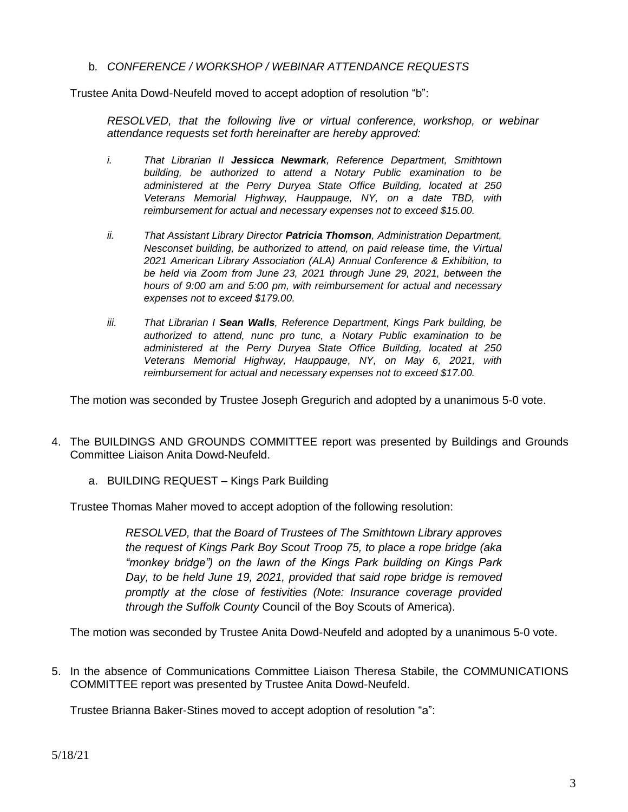b*. CONFERENCE / WORKSHOP / WEBINAR ATTENDANCE REQUESTS*

Trustee Anita Dowd-Neufeld moved to accept adoption of resolution "b":

*RESOLVED, that the following live or virtual conference, workshop, or webinar attendance requests set forth hereinafter are hereby approved:*

- *i. That Librarian II Jessicca Newmark, Reference Department, Smithtown building, be authorized to attend a Notary Public examination to be administered at the Perry Duryea State Office Building, located at 250 Veterans Memorial Highway, Hauppauge, NY, on a date TBD, with reimbursement for actual and necessary expenses not to exceed \$15.00.*
- *ii. That Assistant Library Director Patricia Thomson, Administration Department, Nesconset building, be authorized to attend, on paid release time, the Virtual 2021 American Library Association (ALA) Annual Conference & Exhibition, to be held via Zoom from June 23, 2021 through June 29, 2021, between the hours of 9:00 am and 5:00 pm, with reimbursement for actual and necessary expenses not to exceed \$179.00.*
- *iii. That Librarian I Sean Walls, Reference Department, Kings Park building, be authorized to attend, nunc pro tunc, a Notary Public examination to be administered at the Perry Duryea State Office Building, located at 250 Veterans Memorial Highway, Hauppauge, NY, on May 6, 2021, with reimbursement for actual and necessary expenses not to exceed \$17.00.*

The motion was seconded by Trustee Joseph Gregurich and adopted by a unanimous 5-0 vote.

- 4. The BUILDINGS AND GROUNDS COMMITTEE report was presented by Buildings and Grounds Committee Liaison Anita Dowd-Neufeld.
	- a. BUILDING REQUEST Kings Park Building

Trustee Thomas Maher moved to accept adoption of the following resolution:

*RESOLVED, that the Board of Trustees of The Smithtown Library approves the request of Kings Park Boy Scout Troop 75, to place a rope bridge (aka "monkey bridge") on the lawn of the Kings Park building on Kings Park Day, to be held June 19, 2021, provided that said rope bridge is removed promptly at the close of festivities (Note: Insurance coverage provided through the Suffolk County* Council of the Boy Scouts of America).

The motion was seconded by Trustee Anita Dowd-Neufeld and adopted by a unanimous 5-0 vote.

5. In the absence of Communications Committee Liaison Theresa Stabile, the COMMUNICATIONS COMMITTEE report was presented by Trustee Anita Dowd-Neufeld.

Trustee Brianna Baker-Stines moved to accept adoption of resolution "a":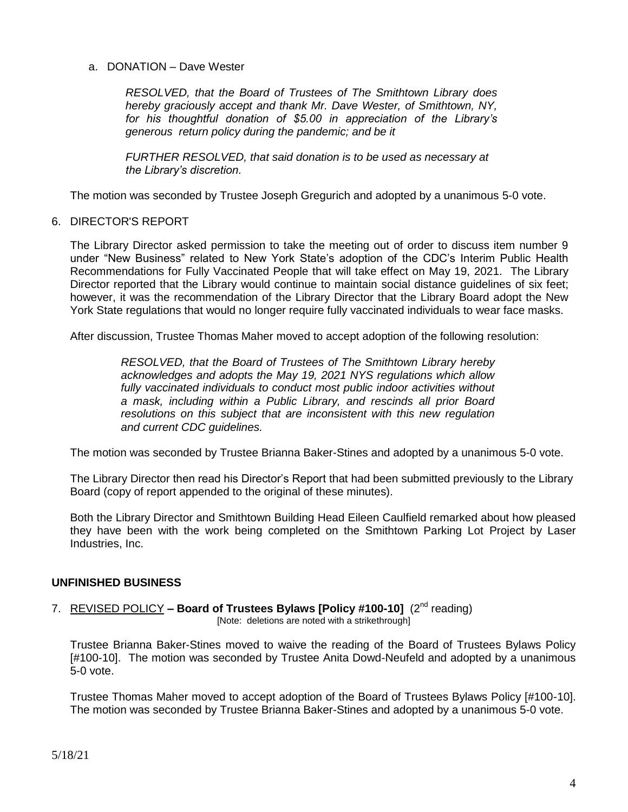#### a. DONATION – Dave Wester

*RESOLVED, that the Board of Trustees of The Smithtown Library does hereby graciously accept and thank Mr. Dave Wester, of Smithtown, NY, for his thoughtful donation of \$5.00 in appreciation of the Library's generous return policy during the pandemic; and be it*

*FURTHER RESOLVED, that said donation is to be used as necessary at the Library's discretion.*

The motion was seconded by Trustee Joseph Gregurich and adopted by a unanimous 5-0 vote.

#### 6. DIRECTOR'S REPORT

The Library Director asked permission to take the meeting out of order to discuss item number 9 under "New Business" related to New York State's adoption of the CDC's Interim Public Health Recommendations for Fully Vaccinated People that will take effect on May 19, 2021. The Library Director reported that the Library would continue to maintain social distance guidelines of six feet; however, it was the recommendation of the Library Director that the Library Board adopt the New York State regulations that would no longer require fully vaccinated individuals to wear face masks.

After discussion, Trustee Thomas Maher moved to accept adoption of the following resolution:

*RESOLVED, that the Board of Trustees of The Smithtown Library hereby acknowledges and adopts the May 19, 2021 NYS regulations which allow*  fully vaccinated individuals to conduct most public indoor activities without *a mask, including within a Public Library, and rescinds all prior Board resolutions on this subject that are inconsistent with this new regulation and current CDC guidelines.*

The motion was seconded by Trustee Brianna Baker-Stines and adopted by a unanimous 5-0 vote.

The Library Director then read his Director's Report that had been submitted previously to the Library Board (copy of report appended to the original of these minutes).

Both the Library Director and Smithtown Building Head Eileen Caulfield remarked about how pleased they have been with the work being completed on the Smithtown Parking Lot Project by Laser Industries, Inc.

# **UNFINISHED BUSINESS**

7. REVISED POLICY - Board of Trustees Bylaws [Policy #100-10] (2<sup>nd</sup> reading)

[Note: deletions are noted with a strikethrough]

Trustee Brianna Baker-Stines moved to waive the reading of the Board of Trustees Bylaws Policy [#100-10]. The motion was seconded by Trustee Anita Dowd-Neufeld and adopted by a unanimous 5-0 vote.

Trustee Thomas Maher moved to accept adoption of the Board of Trustees Bylaws Policy [#100-10]. The motion was seconded by Trustee Brianna Baker-Stines and adopted by a unanimous 5-0 vote.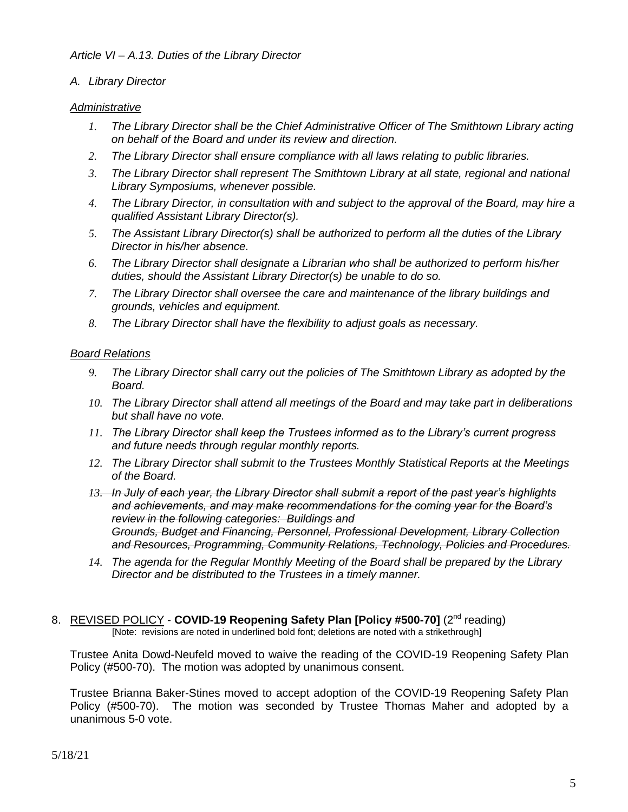# *A. Library Director*

# *Administrative*

- *1. The Library Director shall be the Chief Administrative Officer of The Smithtown Library acting on behalf of the Board and under its review and direction.*
- *2. The Library Director shall ensure compliance with all laws relating to public libraries.*
- *3. The Library Director shall represent The Smithtown Library at all state, regional and national Library Symposiums, whenever possible.*
- *4. The Library Director, in consultation with and subject to the approval of the Board, may hire a qualified Assistant Library Director(s).*
- *5. The Assistant Library Director(s) shall be authorized to perform all the duties of the Library Director in his/her absence.*
- *6. The Library Director shall designate a Librarian who shall be authorized to perform his/her duties, should the Assistant Library Director(s) be unable to do so.*
- *7. The Library Director shall oversee the care and maintenance of the library buildings and grounds, vehicles and equipment.*
- *8. The Library Director shall have the flexibility to adjust goals as necessary.*

# *Board Relations*

- *9. The Library Director shall carry out the policies of The Smithtown Library as adopted by the Board.*
- *10. The Library Director shall attend all meetings of the Board and may take part in deliberations but shall have no vote.*
- *11. The Library Director shall keep the Trustees informed as to the Library's current progress and future needs through regular monthly reports.*
- *12. The Library Director shall submit to the Trustees Monthly Statistical Reports at the Meetings of the Board.*
- *13. In July of each year, the Library Director shall submit a report of the past year's highlights and achievements, and may make recommendations for the coming year for the Board's review in the following categories: Buildings and Grounds, Budget and Financing, Personnel, Professional Development, Library Collection and Resources, Programming, Community Relations, Technology, Policies and Procedures.*
- *14. The agenda for the Regular Monthly Meeting of the Board shall be prepared by the Library Director and be distributed to the Trustees in a timely manner.*
- 8. REVISED POLICY COVID-19 Reopening Safety Plan [Policy #500-70] (2<sup>nd</sup> reading) [Note: revisions are noted in underlined bold font; deletions are noted with a strikethrough]

Trustee Anita Dowd-Neufeld moved to waive the reading of the COVID-19 Reopening Safety Plan Policy (#500-70). The motion was adopted by unanimous consent.

Trustee Brianna Baker-Stines moved to accept adoption of the COVID-19 Reopening Safety Plan Policy (#500-70). The motion was seconded by Trustee Thomas Maher and adopted by a unanimous 5-0 vote.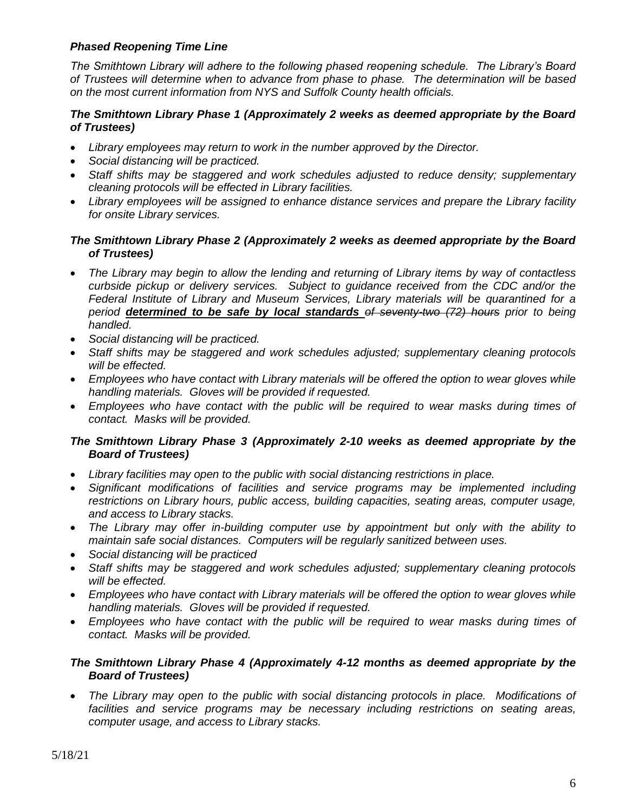# *Phased Reopening Time Line*

*The Smithtown Library will adhere to the following phased reopening schedule. The Library's Board of Trustees will determine when to advance from phase to phase. The determination will be based on the most current information from NYS and Suffolk County health officials.*

# *The Smithtown Library Phase 1 (Approximately 2 weeks as deemed appropriate by the Board of Trustees)*

- *Library employees may return to work in the number approved by the Director.*
- *Social distancing will be practiced.*
- *Staff shifts may be staggered and work schedules adjusted to reduce density; supplementary cleaning protocols will be effected in Library facilities.*
- *Library employees will be assigned to enhance distance services and prepare the Library facility for onsite Library services.*

# *The Smithtown Library Phase 2 (Approximately 2 weeks as deemed appropriate by the Board of Trustees)*

- *The Library may begin to allow the lending and returning of Library items by way of contactless curbside pickup or delivery services. Subject to guidance received from the CDC and/or the Federal Institute of Library and Museum Services, Library materials will be quarantined for a period determined to be safe by local standards of seventy-two (72) hours prior to being handled.*
- *Social distancing will be practiced.*
- *Staff shifts may be staggered and work schedules adjusted; supplementary cleaning protocols will be effected.*
- *Employees who have contact with Library materials will be offered the option to wear gloves while handling materials. Gloves will be provided if requested.*
- *Employees who have contact with the public will be required to wear masks during times of contact. Masks will be provided.*

# *The Smithtown Library Phase 3 (Approximately 2-10 weeks as deemed appropriate by the Board of Trustees)*

- *Library facilities may open to the public with social distancing restrictions in place.*
- *Significant modifications of facilities and service programs may be implemented including restrictions on Library hours, public access, building capacities, seating areas, computer usage, and access to Library stacks.*
- *The Library may offer in-building computer use by appointment but only with the ability to maintain safe social distances. Computers will be regularly sanitized between uses.*
- *Social distancing will be practiced*
- *Staff shifts may be staggered and work schedules adjusted; supplementary cleaning protocols will be effected.*
- *Employees who have contact with Library materials will be offered the option to wear gloves while handling materials. Gloves will be provided if requested.*
- *Employees who have contact with the public will be required to wear masks during times of contact. Masks will be provided.*

# *The Smithtown Library Phase 4 (Approximately 4-12 months as deemed appropriate by the Board of Trustees)*

 *The Library may open to the public with social distancing protocols in place. Modifications of facilities and service programs may be necessary including restrictions on seating areas, computer usage, and access to Library stacks.*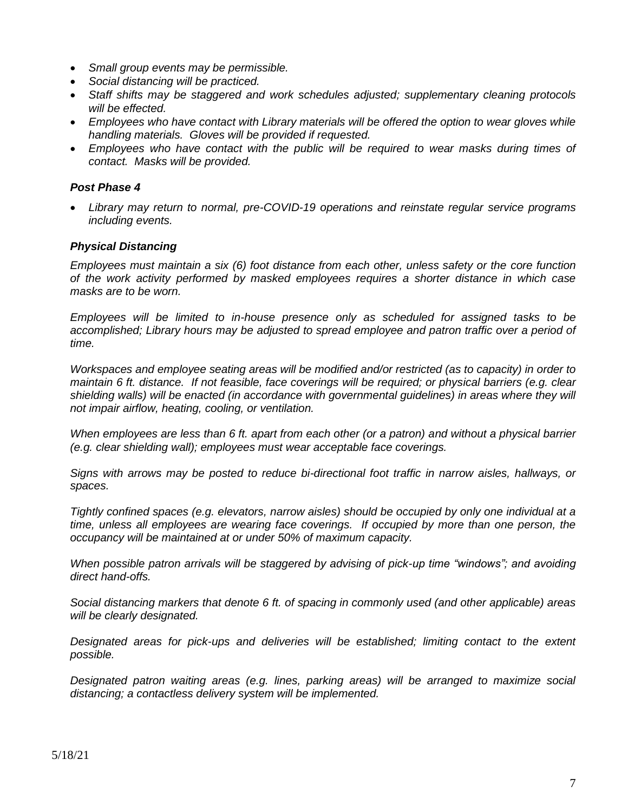- *Small group events may be permissible.*
- *Social distancing will be practiced.*
- *Staff shifts may be staggered and work schedules adjusted; supplementary cleaning protocols will be effected.*
- *Employees who have contact with Library materials will be offered the option to wear gloves while handling materials. Gloves will be provided if requested.*
- *Employees who have contact with the public will be required to wear masks during times of contact. Masks will be provided.*

# *Post Phase 4*

 *Library may return to normal, pre-COVID-19 operations and reinstate regular service programs including events.*

#### *Physical Distancing*

*Employees must maintain a six (6) foot distance from each other, unless safety or the core function of the work activity performed by masked employees requires a shorter distance in which case masks are to be worn.*

*Employees will be limited to in-house presence only as scheduled for assigned tasks to be accomplished; Library hours may be adjusted to spread employee and patron traffic over a period of time.*

*Workspaces and employee seating areas will be modified and/or restricted (as to capacity) in order to maintain 6 ft. distance. If not feasible, face coverings will be required; or physical barriers (e.g. clear*  shielding walls) will be enacted (in accordance with governmental guidelines) in areas where they will *not impair airflow, heating, cooling, or ventilation.*

*When employees are less than 6 ft. apart from each other (or a patron) and without a physical barrier (e.g. clear shielding wall); employees must wear acceptable face coverings.*

*Signs with arrows may be posted to reduce bi-directional foot traffic in narrow aisles, hallways, or spaces.*

*Tightly confined spaces (e.g. elevators, narrow aisles) should be occupied by only one individual at a time, unless all employees are wearing face coverings. If occupied by more than one person, the occupancy will be maintained at or under 50% of maximum capacity.*

*When possible patron arrivals will be staggered by advising of pick-up time "windows"; and avoiding direct hand-offs.*

*Social distancing markers that denote 6 ft. of spacing in commonly used (and other applicable) areas will be clearly designated.*

*Designated areas for pick-ups and deliveries will be established; limiting contact to the extent possible.*

*Designated patron waiting areas (e.g. lines, parking areas) will be arranged to maximize social distancing; a contactless delivery system will be implemented.*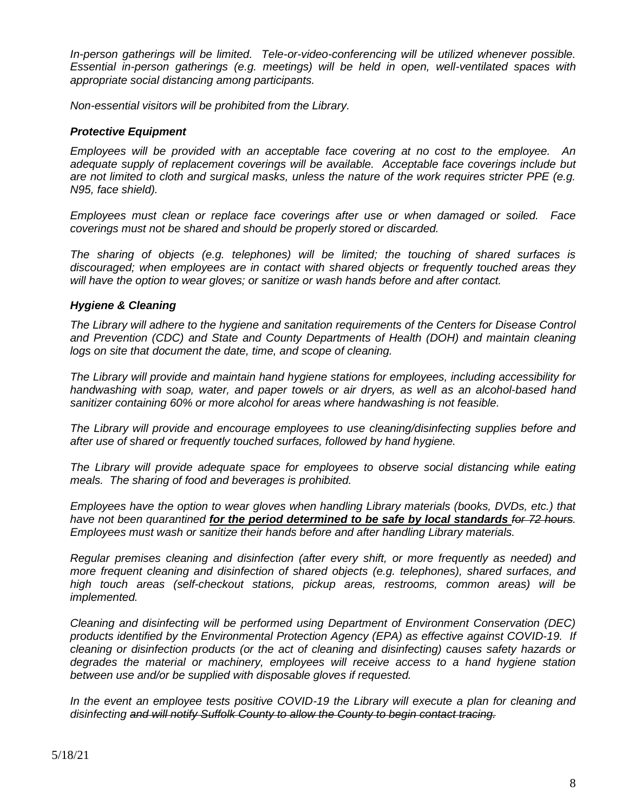*In-person gatherings will be limited. Tele-or-video-conferencing will be utilized whenever possible. Essential in-person gatherings (e.g. meetings) will be held in open, well-ventilated spaces with appropriate social distancing among participants.*

*Non-essential visitors will be prohibited from the Library.*

### *Protective Equipment*

*Employees will be provided with an acceptable face covering at no cost to the employee. An adequate supply of replacement coverings will be available. Acceptable face coverings include but are not limited to cloth and surgical masks, unless the nature of the work requires stricter PPE (e.g. N95, face shield).*

*Employees must clean or replace face coverings after use or when damaged or soiled. Face coverings must not be shared and should be properly stored or discarded.*

*The sharing of objects (e.g. telephones) will be limited; the touching of shared surfaces is discouraged; when employees are in contact with shared objects or frequently touched areas they will have the option to wear gloves; or sanitize or wash hands before and after contact.*

#### *Hygiene & Cleaning*

*The Library will adhere to the hygiene and sanitation requirements of the Centers for Disease Control*  and Prevention (CDC) and State and County Departments of Health (DOH) and maintain cleaning *logs on site that document the date, time, and scope of cleaning.*

*The Library will provide and maintain hand hygiene stations for employees, including accessibility for handwashing with soap, water, and paper towels or air dryers, as well as an alcohol-based hand sanitizer containing 60% or more alcohol for areas where handwashing is not feasible.*

*The Library will provide and encourage employees to use cleaning/disinfecting supplies before and after use of shared or frequently touched surfaces, followed by hand hygiene.*

*The Library will provide adequate space for employees to observe social distancing while eating meals. The sharing of food and beverages is prohibited.*

*Employees have the option to wear gloves when handling Library materials (books, DVDs, etc.) that have not been quarantined for the period determined to be safe by local standards <del>for 72 hours</del>. Employees must wash or sanitize their hands before and after handling Library materials.* 

*Regular premises cleaning and disinfection (after every shift, or more frequently as needed) and more frequent cleaning and disinfection of shared objects (e.g. telephones), shared surfaces, and high touch areas (self-checkout stations, pickup areas, restrooms, common areas) will be implemented.*

*Cleaning and disinfecting will be performed using Department of Environment Conservation (DEC) products identified by the Environmental Protection Agency (EPA) as effective against COVID-19. If cleaning or disinfection products (or the act of cleaning and disinfecting) causes safety hazards or degrades the material or machinery, employees will receive access to a hand hygiene station between use and/or be supplied with disposable gloves if requested.*

*In the event an employee tests positive COVID-19 the Library will execute a plan for cleaning and disinfecting and will notify Suffolk County to allow the County to begin contact tracing.*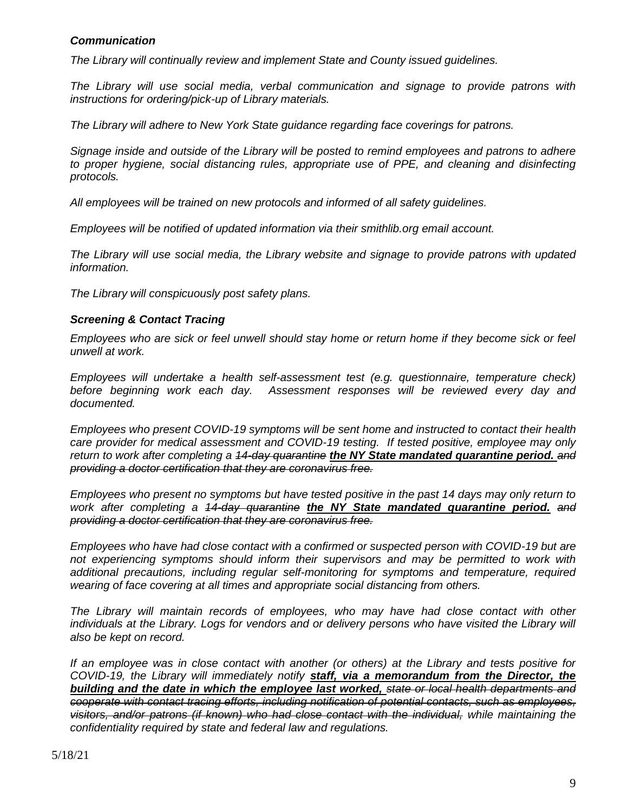### *Communication*

*The Library will continually review and implement State and County issued guidelines.*

*The Library will use social media, verbal communication and signage to provide patrons with instructions for ordering/pick-up of Library materials.* 

*The Library will adhere to New York State guidance regarding face coverings for patrons.*

*Signage inside and outside of the Library will be posted to remind employees and patrons to adhere*  to proper hygiene, social distancing rules, appropriate use of PPE, and cleaning and disinfecting *protocols.*

*All employees will be trained on new protocols and informed of all safety guidelines.*

*Employees will be notified of updated information via their smithlib.org email account.*

*The Library will use social media, the Library website and signage to provide patrons with updated information.*

*The Library will conspicuously post safety plans.*

#### *Screening & Contact Tracing*

*Employees who are sick or feel unwell should stay home or return home if they become sick or feel unwell at work.*

*Employees will undertake a health self-assessment test (e.g. questionnaire, temperature check) before beginning work each day. Assessment responses will be reviewed every day and documented.*

*Employees who present COVID-19 symptoms will be sent home and instructed to contact their health care provider for medical assessment and COVID-19 testing. If tested positive, employee may only return to work after completing a 14-day quarantine the NY State mandated quarantine period. and providing a doctor certification that they are coronavirus free.*

*Employees who present no symptoms but have tested positive in the past 14 days may only return to work after completing a 14-day quarantine the NY State mandated quarantine period. and providing a doctor certification that they are coronavirus free.*

*Employees who have had close contact with a confirmed or suspected person with COVID-19 but are not experiencing symptoms should inform their supervisors and may be permitted to work with additional precautions, including regular self-monitoring for symptoms and temperature, required wearing of face covering at all times and appropriate social distancing from others.*

*The Library will maintain records of employees, who may have had close contact with other individuals at the Library. Logs for vendors and or delivery persons who have visited the Library will also be kept on record.*

*If an employee was in close contact with another (or others) at the Library and tests positive for COVID-19, the Library will immediately notify staff, via a memorandum from the Director, the building and the date in which the employee last worked, state or local health departments and cooperate with contact tracing efforts, including notification of potential contacts, such as employees, visitors, and/or patrons (if known) who had close contact with the individual, while maintaining the confidentiality required by state and federal law and regulations.*